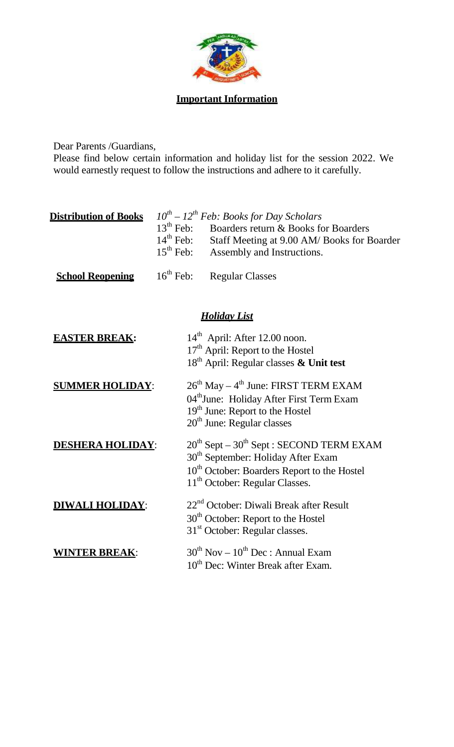

Dear Parents /Guardians,

Please find below certain information and holiday list for the session 2022. We would earnestly request to follow the instructions and adhere to it carefully.

| <b>Distribution of Books</b> |                | $10^{th}$ – $12^{th}$ Feb: Books for Day Scholars                                                                                        |
|------------------------------|----------------|------------------------------------------------------------------------------------------------------------------------------------------|
|                              | $15^{th}$ Feb: | $13th$ Feb: Boarders return & Books for Boarders<br>$14th$ Feb: Staff Meeting at 9.00 AM/Books for Boarder<br>Assembly and Instructions. |
| <b>School Reopening</b>      |                | $16th$ Feb: Regular Classes                                                                                                              |

## *Holiday List*

| <b>EASTER BREAK:</b>    | $14th$ April: After 12.00 noon.                         |
|-------------------------|---------------------------------------------------------|
|                         | 17 <sup>th</sup> April: Report to the Hostel            |
|                         | 18 <sup>th</sup> April: Regular classes & Unit test     |
| <b>SUMMER HOLIDAY:</b>  | $26th$ May – 4 <sup>th</sup> June: FIRST TERM EXAM      |
|                         | 04th June: Holiday After First Term Exam                |
|                         | 19 <sup>th</sup> June: Report to the Hostel             |
|                         | $20th$ June: Regular classes                            |
| <b>DESHERA HOLIDAY:</b> | $20^{th}$ Sept – $30^{th}$ Sept : SECOND TERM EXAM      |
|                         | 30 <sup>th</sup> September: Holiday After Exam          |
|                         | 10 <sup>th</sup> October: Boarders Report to the Hostel |
|                         | $11th$ October: Regular Classes.                        |
| WALI HOLIDAY:           | 22 <sup>nd</sup> October: Diwali Break after Result     |
|                         | 30 <sup>th</sup> October: Report to the Hostel          |
|                         | 31 <sup>st</sup> October: Regular classes.              |
| <b>WINTER BREAK:</b>    | $30^{th}$ Nov – $10^{th}$ Dec : Annual Exam             |
|                         | 10 <sup>th</sup> Dec: Winter Break after Exam.          |
|                         |                                                         |